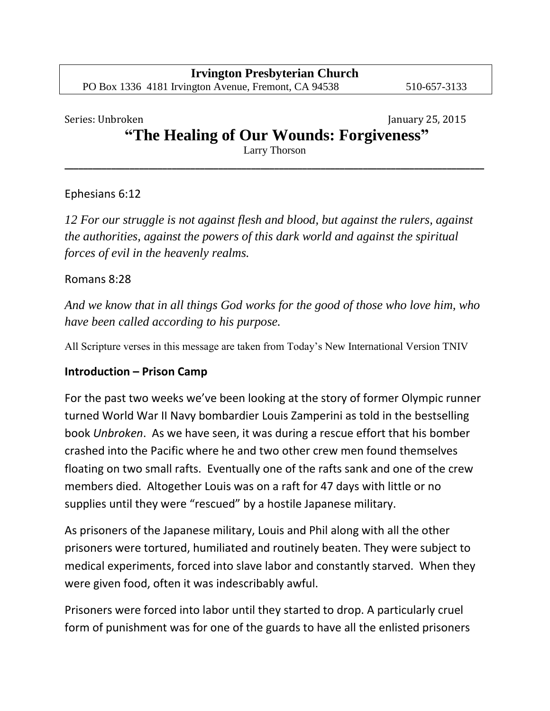#### Series: Unbroken January 25, 2015

# **"The Healing of Our Wounds: Forgiveness"**

Larry Thorson **\_\_\_\_\_\_\_\_\_\_\_\_\_\_\_\_\_\_\_\_\_\_\_\_\_\_\_\_\_\_\_\_\_\_\_\_\_\_\_\_\_\_\_\_\_\_\_\_\_\_\_\_\_\_\_\_\_\_\_\_\_\_\_\_\_\_\_\_\_\_\_\_\_\_\_\_\_\_\_\_\_\_\_\_\_\_\_\_\_\_**

#### Ephesians 6:12

*12 For our struggle is not against flesh and blood, but against the rulers, against the authorities, against the powers of this dark world and against the spiritual forces of evil in the heavenly realms.* 

#### Romans 8:28

*And we know that in all things God works for the good of those who love him, who have been called according to his purpose.* 

All Scripture verses in this message are taken from Today's New International Version TNIV

#### **Introduction – Prison Camp**

For the past two weeks we've been looking at the story of former Olympic runner turned World War II Navy bombardier Louis Zamperini as told in the bestselling book *Unbroken*. As we have seen, it was during a rescue effort that his bomber crashed into the Pacific where he and two other crew men found themselves floating on two small rafts. Eventually one of the rafts sank and one of the crew members died. Altogether Louis was on a raft for 47 days with little or no supplies until they were "rescued" by a hostile Japanese military.

As prisoners of the Japanese military, Louis and Phil along with all the other prisoners were tortured, humiliated and routinely beaten. They were subject to medical experiments, forced into slave labor and constantly starved. When they were given food, often it was indescribably awful.

Prisoners were forced into labor until they started to drop. A particularly cruel form of punishment was for one of the guards to have all the enlisted prisoners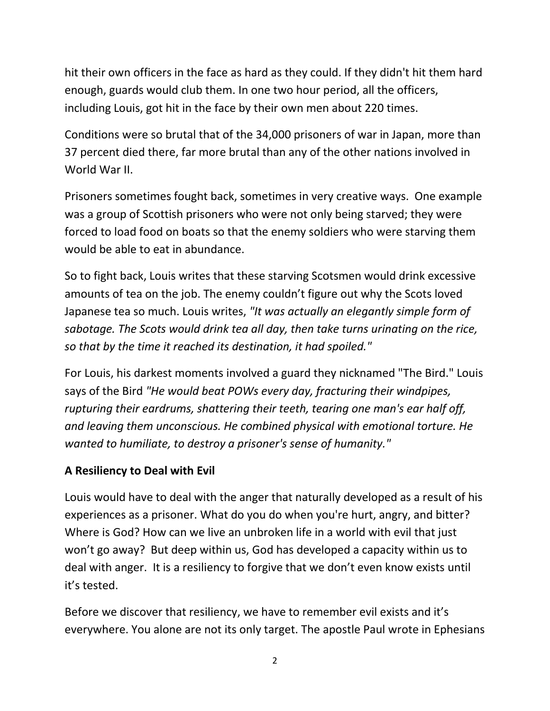hit their own officers in the face as hard as they could. If they didn't hit them hard enough, guards would club them. In one two hour period, all the officers, including Louis, got hit in the face by their own men about 220 times.

Conditions were so brutal that of the 34,000 prisoners of war in Japan, more than 37 percent died there, far more brutal than any of the other nations involved in World War II.

Prisoners sometimes fought back, sometimes in very creative ways. One example was a group of Scottish prisoners who were not only being starved; they were forced to load food on boats so that the enemy soldiers who were starving them would be able to eat in abundance.

So to fight back, Louis writes that these starving Scotsmen would drink excessive amounts of tea on the job. The enemy couldn't figure out why the Scots loved Japanese tea so much. Louis writes, *"It was actually an elegantly simple form of sabotage. The Scots would drink tea all day, then take turns urinating on the rice, so that by the time it reached its destination, it had spoiled."*

For Louis, his darkest moments involved a guard they nicknamed "The Bird." Louis says of the Bird *"He would beat POWs every day, fracturing their windpipes, rupturing their eardrums, shattering their teeth, tearing one man's ear half off, and leaving them unconscious. He combined physical with emotional torture. He wanted to humiliate, to destroy a prisoner's sense of humanity."* 

## **A Resiliency to Deal with Evil**

Louis would have to deal with the anger that naturally developed as a result of his experiences as a prisoner. What do you do when you're hurt, angry, and bitter? Where is God? How can we live an unbroken life in a world with evil that just won't go away? But deep within us, God has developed a capacity within us to deal with anger. It is a resiliency to forgive that we don't even know exists until it's tested.

Before we discover that resiliency, we have to remember evil exists and it's everywhere. You alone are not its only target. The apostle Paul wrote in Ephesians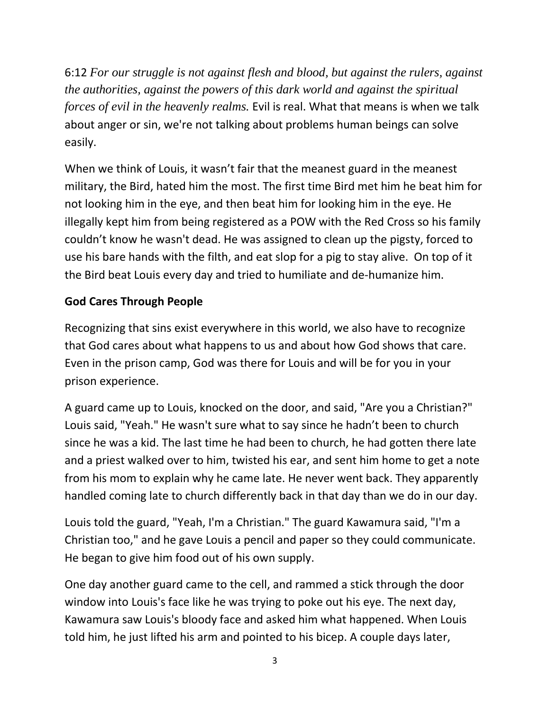6:12 *For our struggle is not against flesh and blood, but against the rulers, against the authorities, against the powers of this dark world and against the spiritual forces of evil in the heavenly realms.* Evil is real. What that means is when we talk about anger or sin, we're not talking about problems human beings can solve easily.

When we think of Louis, it wasn't fair that the meanest guard in the meanest military, the Bird, hated him the most. The first time Bird met him he beat him for not looking him in the eye, and then beat him for looking him in the eye. He illegally kept him from being registered as a POW with the Red Cross so his family couldn't know he wasn't dead. He was assigned to clean up the pigsty, forced to use his bare hands with the filth, and eat slop for a pig to stay alive. On top of it the Bird beat Louis every day and tried to humiliate and de-humanize him.

## **God Cares Through People**

Recognizing that sins exist everywhere in this world, we also have to recognize that God cares about what happens to us and about how God shows that care. Even in the prison camp, God was there for Louis and will be for you in your prison experience.

A guard came up to Louis, knocked on the door, and said, "Are you a Christian?" Louis said, "Yeah." He wasn't sure what to say since he hadn't been to church since he was a kid. The last time he had been to church, he had gotten there late and a priest walked over to him, twisted his ear, and sent him home to get a note from his mom to explain why he came late. He never went back. They apparently handled coming late to church differently back in that day than we do in our day.

Louis told the guard, "Yeah, I'm a Christian." The guard Kawamura said, "I'm a Christian too," and he gave Louis a pencil and paper so they could communicate. He began to give him food out of his own supply.

One day another guard came to the cell, and rammed a stick through the door window into Louis's face like he was trying to poke out his eye. The next day, Kawamura saw Louis's bloody face and asked him what happened. When Louis told him, he just lifted his arm and pointed to his bicep. A couple days later,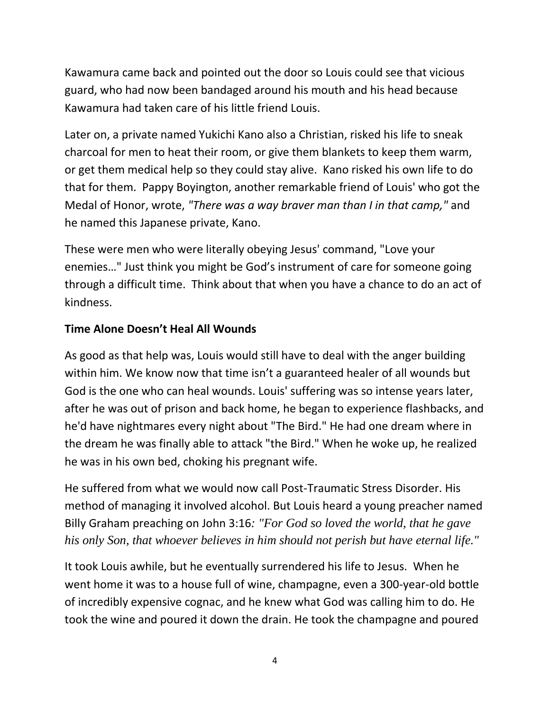Kawamura came back and pointed out the door so Louis could see that vicious guard, who had now been bandaged around his mouth and his head because Kawamura had taken care of his little friend Louis.

Later on, a private named Yukichi Kano also a Christian, risked his life to sneak charcoal for men to heat their room, or give them blankets to keep them warm, or get them medical help so they could stay alive. Kano risked his own life to do that for them. Pappy Boyington, another remarkable friend of Louis' who got the Medal of Honor, wrote, *"There was a way braver man than I in that camp,"* and he named this Japanese private, Kano.

These were men who were literally obeying Jesus' command, "Love your enemies…" Just think you might be God's instrument of care for someone going through a difficult time. Think about that when you have a chance to do an act of kindness.

# **Time Alone Doesn't Heal All Wounds**

As good as that help was, Louis would still have to deal with the anger building within him. We know now that time isn't a guaranteed healer of all wounds but God is the one who can heal wounds. Louis' suffering was so intense years later, after he was out of prison and back home, he began to experience flashbacks, and he'd have nightmares every night about "The Bird." He had one dream where in the dream he was finally able to attack "the Bird." When he woke up, he realized he was in his own bed, choking his pregnant wife.

He suffered from what we would now call Post-Traumatic Stress Disorder. His method of managing it involved alcohol. But Louis heard a young preacher named Billy Graham preaching on John 3:16*: "For God so loved the world, that he gave his only Son, that whoever believes in him should not perish but have eternal life."*

It took Louis awhile, but he eventually surrendered his life to Jesus. When he went home it was to a house full of wine, champagne, even a 300-year-old bottle of incredibly expensive cognac, and he knew what God was calling him to do. He took the wine and poured it down the drain. He took the champagne and poured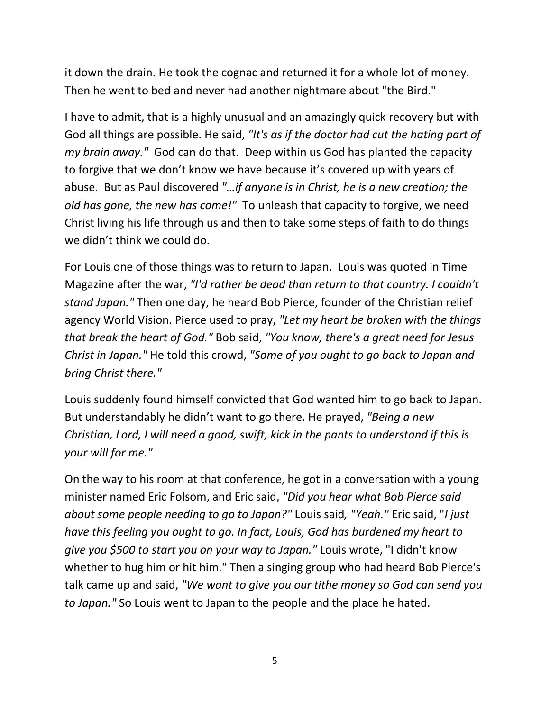it down the drain. He took the cognac and returned it for a whole lot of money. Then he went to bed and never had another nightmare about "the Bird."

I have to admit, that is a highly unusual and an amazingly quick recovery but with God all things are possible. He said, *"It's as if the doctor had cut the hating part of my brain away."* God can do that. Deep within us God has planted the capacity to forgive that we don't know we have because it's covered up with years of abuse. But as Paul discovered *"…if anyone is in Christ, he is a new creation; the old has gone, the new has come!"* To unleash that capacity to forgive, we need Christ living his life through us and then to take some steps of faith to do things we didn't think we could do.

For Louis one of those things was to return to Japan. Louis was quoted in Time Magazine after the war, *"I'd rather be dead than return to that country. I couldn't stand Japan."* Then one day, he heard Bob Pierce, founder of the Christian relief agency World Vision. Pierce used to pray, *"Let my heart be broken with the things that break the heart of God."* Bob said, *"You know, there's a great need for Jesus Christ in Japan."* He told this crowd, *"Some of you ought to go back to Japan and bring Christ there."*

Louis suddenly found himself convicted that God wanted him to go back to Japan. But understandably he didn't want to go there. He prayed, *"Being a new Christian, Lord, I will need a good, swift, kick in the pants to understand if this is your will for me."*

On the way to his room at that conference, he got in a conversation with a young minister named Eric Folsom, and Eric said, *"Did you hear what Bob Pierce said about some people needing to go to Japan?"* Louis said*, "Yeah."* Eric said, "*I just have this feeling you ought to go. In fact, Louis, God has burdened my heart to give you \$500 to start you on your way to Japan."* Louis wrote, "I didn't know whether to hug him or hit him." Then a singing group who had heard Bob Pierce's talk came up and said, *"We want to give you our tithe money so God can send you to Japan."* So Louis went to Japan to the people and the place he hated.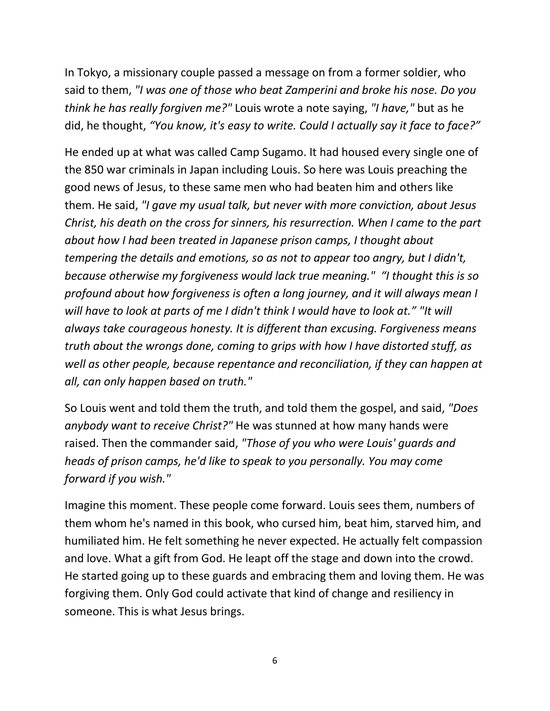In Tokyo, a missionary couple passed a message on from a former soldier, who said to them, *"I was one of those who beat Zamperini and broke his nose. Do you think he has really forgiven me?"* Louis wrote a note saying, *"I have,"* but as he did, he thought, *"You know, it's easy to write. Could I actually say it face to face?"*

He ended up at what was called Camp Sugamo. It had housed every single one of the 850 war criminals in Japan including Louis. So here was Louis preaching the good news of Jesus, to these same men who had beaten him and others like them. He said, *"I gave my usual talk, but never with more conviction, about Jesus Christ, his death on the cross for sinners, his resurrection. When I came to the part about how I had been treated in Japanese prison camps, I thought about tempering the details and emotions, so as not to appear too angry, but I didn't, because otherwise my forgiveness would lack true meaning." "I thought this is so profound about how forgiveness is often a long journey, and it will always mean I will have to look at parts of me I didn't think I would have to look at." "It will always take courageous honesty. It is different than excusing. Forgiveness means truth about the wrongs done, coming to grips with how I have distorted stuff, as well as other people, because repentance and reconciliation, if they can happen at all, can only happen based on truth."*

So Louis went and told them the truth, and told them the gospel, and said, *"Does anybody want to receive Christ?"* He was stunned at how many hands were raised. Then the commander said, *"Those of you who were Louis' guards and heads of prison camps, he'd like to speak to you personally. You may come forward if you wish."* 

Imagine this moment. These people come forward. Louis sees them, numbers of them whom he's named in this book, who cursed him, beat him, starved him, and humiliated him. He felt something he never expected. He actually felt compassion and love. What a gift from God. He leapt off the stage and down into the crowd. He started going up to these guards and embracing them and loving them. He was forgiving them. Only God could activate that kind of change and resiliency in someone. This is what Jesus brings.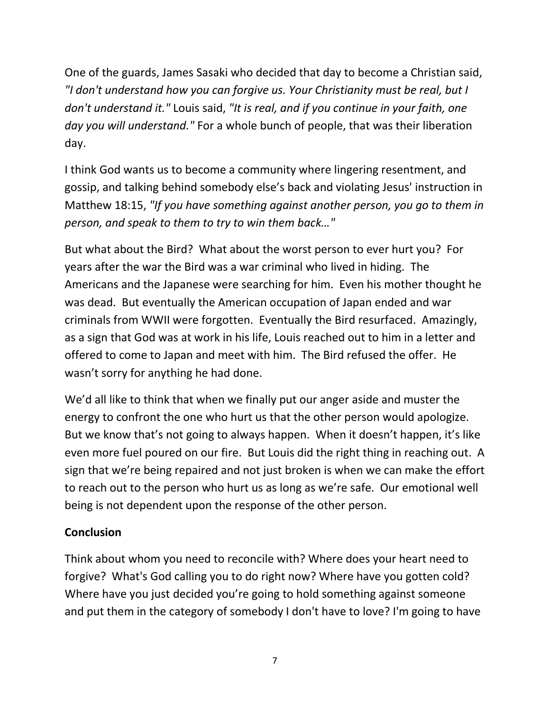One of the guards, James Sasaki who decided that day to become a Christian said, *"I don't understand how you can forgive us. Your Christianity must be real, but I don't understand it."* Louis said, *"It is real, and if you continue in your faith, one day you will understand."* For a whole bunch of people, that was their liberation day.

I think God wants us to become a community where lingering resentment, and gossip, and talking behind somebody else's back and violating Jesus' instruction in Matthew 18:15, *"If you have something against another person, you go to them in person, and speak to them to try to win them back…"*

But what about the Bird? What about the worst person to ever hurt you? For years after the war the Bird was a war criminal who lived in hiding. The Americans and the Japanese were searching for him. Even his mother thought he was dead. But eventually the American occupation of Japan ended and war criminals from WWII were forgotten. Eventually the Bird resurfaced. Amazingly, as a sign that God was at work in his life, Louis reached out to him in a letter and offered to come to Japan and meet with him. The Bird refused the offer. He wasn't sorry for anything he had done.

We'd all like to think that when we finally put our anger aside and muster the energy to confront the one who hurt us that the other person would apologize. But we know that's not going to always happen. When it doesn't happen, it's like even more fuel poured on our fire. But Louis did the right thing in reaching out. A sign that we're being repaired and not just broken is when we can make the effort to reach out to the person who hurt us as long as we're safe. Our emotional well being is not dependent upon the response of the other person.

## **Conclusion**

Think about whom you need to reconcile with? Where does your heart need to forgive? What's God calling you to do right now? Where have you gotten cold? Where have you just decided you're going to hold something against someone and put them in the category of somebody I don't have to love? I'm going to have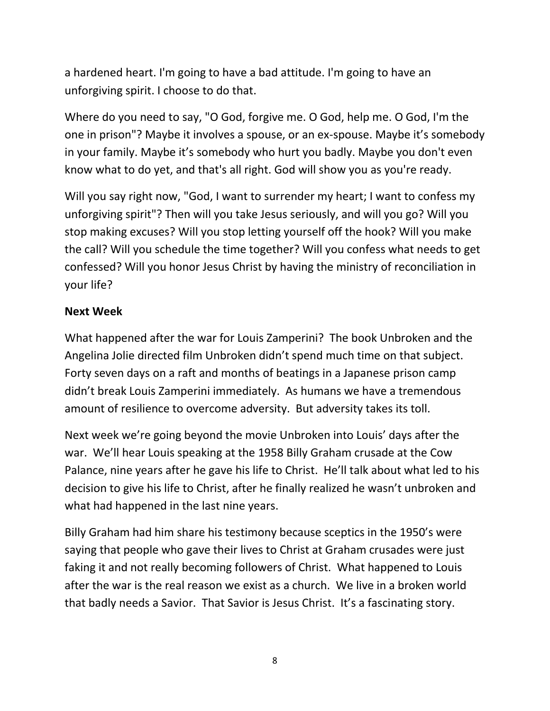a hardened heart. I'm going to have a bad attitude. I'm going to have an unforgiving spirit. I choose to do that.

Where do you need to say, "O God, forgive me. O God, help me. O God, I'm the one in prison"? Maybe it involves a spouse, or an ex-spouse. Maybe it's somebody in your family. Maybe it's somebody who hurt you badly. Maybe you don't even know what to do yet, and that's all right. God will show you as you're ready.

Will you say right now, "God, I want to surrender my heart; I want to confess my unforgiving spirit"? Then will you take Jesus seriously, and will you go? Will you stop making excuses? Will you stop letting yourself off the hook? Will you make the call? Will you schedule the time together? Will you confess what needs to get confessed? Will you honor Jesus Christ by having the ministry of reconciliation in your life?

### **Next Week**

What happened after the war for Louis Zamperini? The book Unbroken and the Angelina Jolie directed film Unbroken didn't spend much time on that subject. Forty seven days on a raft and months of beatings in a Japanese prison camp didn't break Louis Zamperini immediately. As humans we have a tremendous amount of resilience to overcome adversity. But adversity takes its toll.

Next week we're going beyond the movie Unbroken into Louis' days after the war. We'll hear Louis speaking at the 1958 Billy Graham crusade at the Cow Palance, nine years after he gave his life to Christ. He'll talk about what led to his decision to give his life to Christ, after he finally realized he wasn't unbroken and what had happened in the last nine years.

Billy Graham had him share his testimony because sceptics in the 1950's were saying that people who gave their lives to Christ at Graham crusades were just faking it and not really becoming followers of Christ. What happened to Louis after the war is the real reason we exist as a church. We live in a broken world that badly needs a Savior. That Savior is Jesus Christ. It's a fascinating story.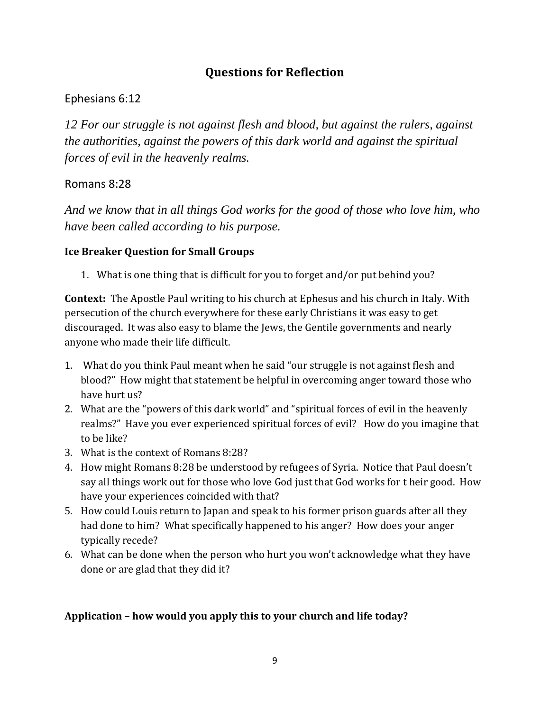# **Questions for Reflection**

#### Ephesians 6:12

*12 For our struggle is not against flesh and blood, but against the rulers, against the authorities, against the powers of this dark world and against the spiritual forces of evil in the heavenly realms.* 

#### Romans 8:28

*And we know that in all things God works for the good of those who love him, who have been called according to his purpose.* 

#### **Ice Breaker Question for Small Groups**

1. What is one thing that is difficult for you to forget and/or put behind you?

**Context:** The Apostle Paul writing to his church at Ephesus and his church in Italy. With persecution of the church everywhere for these early Christians it was easy to get discouraged. It was also easy to blame the Jews, the Gentile governments and nearly anyone who made their life difficult.

- 1. What do you think Paul meant when he said "our struggle is not against flesh and blood?" How might that statement be helpful in overcoming anger toward those who have hurt us?
- 2. What are the "powers of this dark world" and "spiritual forces of evil in the heavenly realms?" Have you ever experienced spiritual forces of evil? How do you imagine that to be like?
- 3. What is the context of Romans 8:28?
- 4. How might Romans 8:28 be understood by refugees of Syria. Notice that Paul doesn't say all things work out for those who love God just that God works for t heir good. How have your experiences coincided with that?
- 5. How could Louis return to Japan and speak to his former prison guards after all they had done to him? What specifically happened to his anger? How does your anger typically recede?
- 6. What can be done when the person who hurt you won't acknowledge what they have done or are glad that they did it?

#### **Application – how would you apply this to your church and life today?**